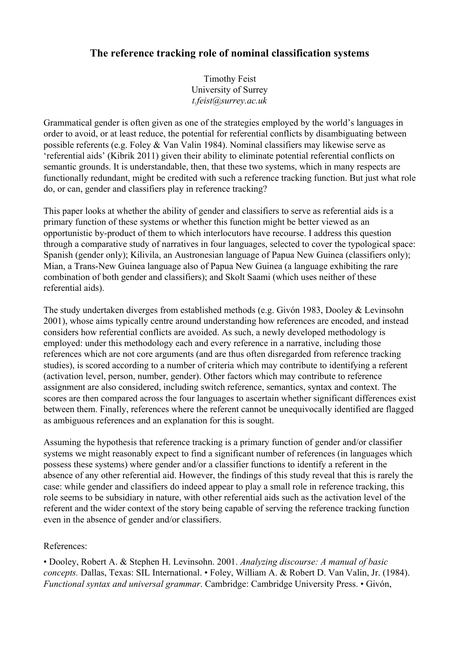## **The reference tracking role of nominal classification systems**

Timothy Feist University of Surrey *t.feist@surrey.ac.uk*

Grammatical gender is often given as one of the strategies employed by the world's languages in order to avoid, or at least reduce, the potential for referential conflicts by disambiguating between possible referents (e.g. Foley & Van Valin 1984). Nominal classifiers may likewise serve as 'referential aids' (Kibrik 2011) given their ability to eliminate potential referential conflicts on semantic grounds. It is understandable, then, that these two systems, which in many respects are functionally redundant, might be credited with such a reference tracking function. But just what role do, or can, gender and classifiers play in reference tracking?

This paper looks at whether the ability of gender and classifiers to serve as referential aids is a primary function of these systems or whether this function might be better viewed as an opportunistic by-product of them to which interlocutors have recourse. I address this question through a comparative study of narratives in four languages, selected to cover the typological space: Spanish (gender only); Kilivila, an Austronesian language of Papua New Guinea (classifiers only); Mian, a Trans-New Guinea language also of Papua New Guinea (a language exhibiting the rare combination of both gender and classifiers); and Skolt Saami (which uses neither of these referential aids).

The study undertaken diverges from established methods (e.g. Givón 1983, Dooley & Levinsohn 2001), whose aims typically centre around understanding how references are encoded, and instead considers how referential conflicts are avoided. As such, a newly developed methodology is employed: under this methodology each and every reference in a narrative, including those references which are not core arguments (and are thus often disregarded from reference tracking studies), is scored according to a number of criteria which may contribute to identifying a referent (activation level, person, number, gender). Other factors which may contribute to reference assignment are also considered, including switch reference, semantics, syntax and context. The scores are then compared across the four languages to ascertain whether significant differences exist between them. Finally, references where the referent cannot be unequivocally identified are flagged as ambiguous references and an explanation for this is sought.

Assuming the hypothesis that reference tracking is a primary function of gender and/or classifier systems we might reasonably expect to find a significant number of references (in languages which possess these systems) where gender and/or a classifier functions to identify a referent in the absence of any other referential aid. However, the findings of this study reveal that this is rarely the case: while gender and classifiers do indeed appear to play a small role in reference tracking, this role seems to be subsidiary in nature, with other referential aids such as the activation level of the referent and the wider context of the story being capable of serving the reference tracking function even in the absence of gender and/or classifiers.

## References:

• Dooley, Robert A. & Stephen H. Levinsohn. 2001. *Analyzing discourse: A manual of basic concepts.* Dallas, Texas: SIL International. • Foley, William A. & Robert D. Van Valin, Jr. (1984). *Functional syntax and universal grammar*. Cambridge: Cambridge University Press. • Givón,